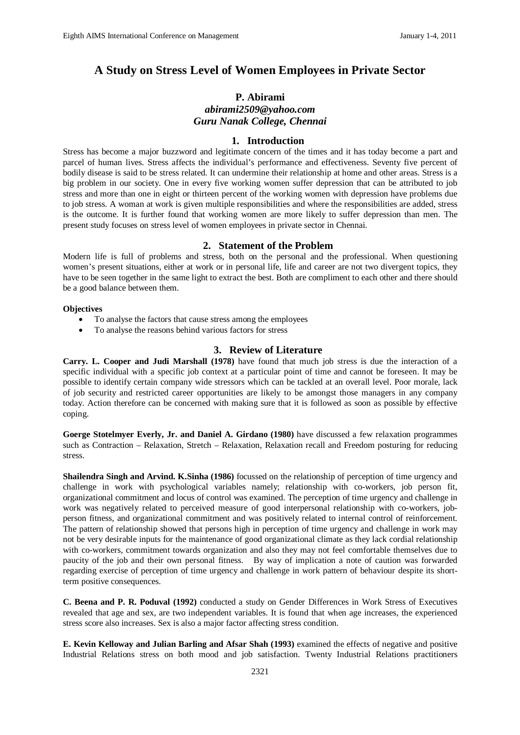# **A Study on Stress Level of Women Employees in Private Sector**

## **P. Abirami**

## *abirami2509@yahoo.com Guru Nanak College, Chennai*

### **1. Introduction**

Stress has become a major buzzword and legitimate concern of the times and it has today become a part and parcel of human lives. Stress affects the individual's performance and effectiveness. Seventy five percent of bodily disease is said to be stress related. It can undermine their relationship at home and other areas. Stress is a big problem in our society. One in every five working women suffer depression that can be attributed to job stress and more than one in eight or thirteen percent of the working women with depression have problems due to job stress. A woman at work is given multiple responsibilities and where the responsibilities are added, stress is the outcome. It is further found that working women are more likely to suffer depression than men. The present study focuses on stress level of women employees in private sector in Chennai.

## **2. Statement of the Problem**

Modern life is full of problems and stress, both on the personal and the professional. When questioning women's present situations, either at work or in personal life, life and career are not two divergent topics, they have to be seen together in the same light to extract the best. Both are compliment to each other and there should be a good balance between them.

#### **Objectives**

- To analyse the factors that cause stress among the employees
- To analyse the reasons behind various factors for stress

#### **3. Review of Literature**

**Carry. L. Cooper and Judi Marshall (1978)** have found that much job stress is due the interaction of a specific individual with a specific job context at a particular point of time and cannot be foreseen. It may be possible to identify certain company wide stressors which can be tackled at an overall level. Poor morale, lack of job security and restricted career opportunities are likely to be amongst those managers in any company today. Action therefore can be concerned with making sure that it is followed as soon as possible by effective coping.

**Goerge Stotelmyer Everly, Jr. and Daniel A. Girdano (1980)** have discussed a few relaxation programmes such as Contraction – Relaxation, Stretch – Relaxation, Relaxation recall and Freedom posturing for reducing stress.

**Shailendra Singh and Arvind. K.Sinha (1986)** focussed on the relationship of perception of time urgency and challenge in work with psychological variables namely; relationship with co-workers, job person fit, organizational commitment and locus of control was examined. The perception of time urgency and challenge in work was negatively related to perceived measure of good interpersonal relationship with co-workers, jobperson fitness, and organizational commitment and was positively related to internal control of reinforcement. The pattern of relationship showed that persons high in perception of time urgency and challenge in work may not be very desirable inputs for the maintenance of good organizational climate as they lack cordial relationship with co-workers, commitment towards organization and also they may not feel comfortable themselves due to paucity of the job and their own personal fitness. By way of implication a note of caution was forwarded regarding exercise of perception of time urgency and challenge in work pattern of behaviour despite its shortterm positive consequences.

**C. Beena and P. R. Poduval (1992)** conducted a study on Gender Differences in Work Stress of Executives revealed that age and sex, are two independent variables. It is found that when age increases, the experienced stress score also increases. Sex is also a major factor affecting stress condition.

**E. Kevin Kelloway and Julian Barling and Afsar Shah (1993)** examined the effects of negative and positive Industrial Relations stress on both mood and job satisfaction. Twenty Industrial Relations practitioners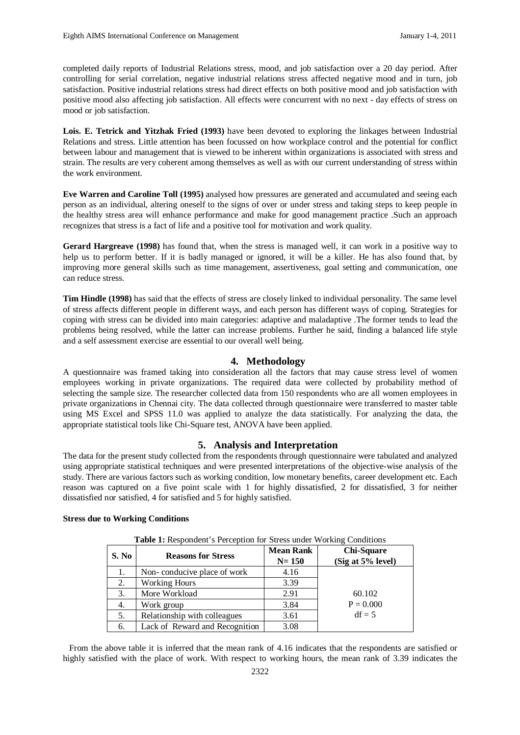completed daily reports of Industrial Relations stress, mood, and job satisfaction over a 20 day period. After controlling for serial correlation, negative industrial relations stress affected negative mood and in turn, job satisfaction. Positive industrial relations stress had direct effects on both positive mood and job satisfaction with positive mood also affecting job satisfaction. All effects were concurrent with no next - day effects of stress on mood or job satisfaction.

**Lois. E. Tetrick and Yitzhak Fried (1993)** have been devoted to exploring the linkages between Industrial Relations and stress. Little attention has been focussed on how workplace control and the potential for conflict between labour and management that is viewed to be inherent within organizations is associated with stress and strain. The results are very coherent among themselves as well as with our current understanding of stress within the work environment.

**Eve Warren and Caroline Toll (1995)** analysed how pressures are generated and accumulated and seeing each person as an individual, altering oneself to the signs of over or under stress and taking steps to keep people in the healthy stress area will enhance performance and make for good management practice .Such an approach recognizes that stress is a fact of life and a positive tool for motivation and work quality.

**Gerard Hargreave (1998)** has found that, when the stress is managed well, it can work in a positive way to help us to perform better. If it is badly managed or ignored, it will be a killer. He has also found that, by improving more general skills such as time management, assertiveness, goal setting and communication, one can reduce stress.

**Tim Hindle (1998)** has said that the effects of stress are closely linked to individual personality. The same level of stress affects different people in different ways, and each person has different ways of coping. Strategies for coping with stress can be divided into main categories: adaptive and maladaptive .The former tends to lead the problems being resolved, while the latter can increase problems. Further he said, finding a balanced life style and a self assessment exercise are essential to our overall well being.

# **4. Methodology**

A questionnaire was framed taking into consideration all the factors that may cause stress level of women employees working in private organizations. The required data were collected by probability method of selecting the sample size. The researcher collected data from 150 respondents who are all women employees in private organizations in Chennai city. The data collected through questionnaire were transferred to master table using MS Excel and SPSS 11.0 was applied to analyze the data statistically. For analyzing the data, the appropriate statistical tools like Chi-Square test, ANOVA have been applied.

## **5. Analysis and Interpretation**

The data for the present study collected from the respondents through questionnaire were tabulated and analyzed using appropriate statistical techniques and were presented interpretations of the objective-wise analysis of the study. There are various factors such as working condition, low monetary benefits, career development etc. Each reason was captured on a five point scale with 1 for highly dissatisfied, 2 for dissatisfied, 3 for neither dissatisfied nor satisfied, 4 for satisfied and 5 for highly satisfied.

| <b>Table 1:</b> Respondent's Perception for Stress under Working Conditions |                                |                               |                                        |  |  |
|-----------------------------------------------------------------------------|--------------------------------|-------------------------------|----------------------------------------|--|--|
| S. No                                                                       | <b>Reasons for Stress</b>      | <b>Mean Rank</b><br>$N = 150$ | <b>Chi-Square</b><br>(Sig at 5% level) |  |  |
| 1.                                                                          | Non-conducive place of work    | 4.16                          |                                        |  |  |
| 2.                                                                          | <b>Working Hours</b>           | 3.39                          |                                        |  |  |
| 3.                                                                          | More Workload                  | 2.91                          | 60.102                                 |  |  |
| 4.                                                                          | Work group                     | 3.84                          | $P = 0.000$                            |  |  |
| 5.                                                                          | Relationship with colleagues   | 3.61                          | $df = 5$                               |  |  |
| 6.                                                                          | Lack of Reward and Recognition | 3.08                          |                                        |  |  |

#### **Stress due to Working Conditions**

 From the above table it is inferred that the mean rank of 4.16 indicates that the respondents are satisfied or highly satisfied with the place of work. With respect to working hours, the mean rank of 3.39 indicates the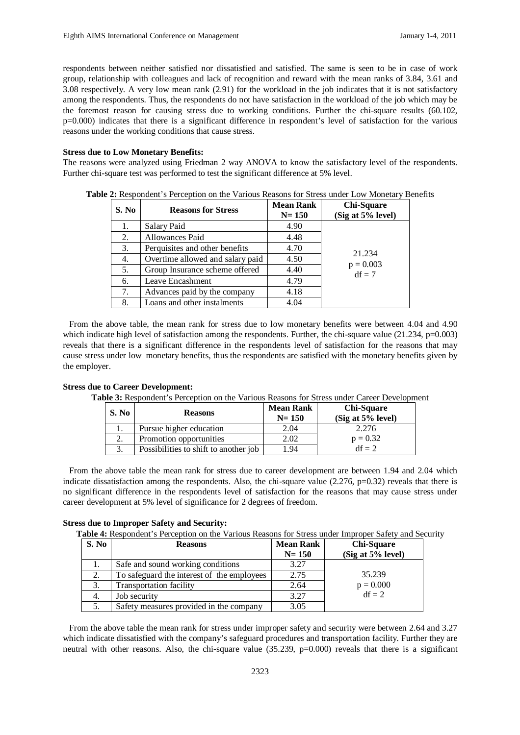respondents between neither satisfied nor dissatisfied and satisfied. The same is seen to be in case of work group, relationship with colleagues and lack of recognition and reward with the mean ranks of 3.84, 3.61 and 3.08 respectively. A very low mean rank (2.91) for the workload in the job indicates that it is not satisfactory among the respondents. Thus, the respondents do not have satisfaction in the workload of the job which may be the foremost reason for causing stress due to working conditions. Further the chi-square results (60.102, p=0.000) indicates that there is a significant difference in respondent's level of satisfaction for the various reasons under the working conditions that cause stress.

#### **Stress due to Low Monetary Benefits:**

The reasons were analyzed using Friedman 2 way ANOVA to know the satisfactory level of the respondents. Further chi-square test was performed to test the significant difference at 5% level.

| <b>S. No</b> | <b>Reasons for Stress</b>        | <b>Mean Rank</b><br>$N = 150$ | <b>Chi-Square</b><br>(Sig at 5% level) |
|--------------|----------------------------------|-------------------------------|----------------------------------------|
| 1.           | Salary Paid                      | 4.90                          |                                        |
| 2.           | Allowances Paid                  | 4.48                          |                                        |
| 3.           | Perquisites and other benefits   | 4.70                          | 21.234                                 |
| 4.           | Overtime allowed and salary paid | 4.50                          |                                        |
| 5.           | Group Insurance scheme offered   | 4.40                          | $p = 0.003$<br>$df = 7$                |
| 6.           | Leave Encashment                 | 4.79                          |                                        |
| 7.           | Advances paid by the company     | 4.18                          |                                        |
| 8.           | Loans and other instalments      | 4.04                          |                                        |

**Table 2:** Respondent's Perception on the Various Reasons for Stress under Low Monetary Benefits

 From the above table, the mean rank for stress due to low monetary benefits were between 4.04 and 4.90 which indicate high level of satisfaction among the respondents. Further, the chi-square value  $(21.234, p=0.003)$ reveals that there is a significant difference in the respondents level of satisfaction for the reasons that may cause stress under low monetary benefits, thus the respondents are satisfied with the monetary benefits given by the employer.

#### **Stress due to Career Development:**

**Table 3:** Respondent's Perception on the Various Reasons for Stress under Career Development

| S. No        | <b>Reasons</b>                        | <b>Mean Rank</b><br>$N = 150$ | <b>Chi-Square</b><br>(Sig at 5% level) |
|--------------|---------------------------------------|-------------------------------|----------------------------------------|
|              | Pursue higher education               | 2.04                          | 2.276                                  |
|              | Promotion opportunities               | 2.02                          | $p = 0.32$                             |
| $\mathbf{z}$ | Possibilities to shift to another job | 1.94                          | $df = 2$                               |

 From the above table the mean rank for stress due to career development are between 1.94 and 2.04 which indicate dissatisfaction among the respondents. Also, the chi-square value (2.276, p=0.32) reveals that there is no significant difference in the respondents level of satisfaction for the reasons that may cause stress under career development at 5% level of significance for 2 degrees of freedom.

#### **Stress due to Improper Safety and Security:**

**Table 4:** Respondent's Perception on the Various Reasons for Stress under Improper Safety and Security

| S. No | <b>Reasons</b>                             | <b>Mean Rank</b><br>$N = 150$ | <b>Chi-Square</b><br>(Sig at 5% level) |
|-------|--------------------------------------------|-------------------------------|----------------------------------------|
| 1.    | Safe and sound working conditions          | 3.27                          |                                        |
| 2.    | To safeguard the interest of the employees | 2.75                          | 35.239                                 |
| 3.    | <b>Transportation facility</b>             | 2.64                          | $p = 0.000$                            |
| 4.    | Job security                               | 3.27                          | $df = 2$                               |
| 5.    | Safety measures provided in the company    | 3.05                          |                                        |

 From the above table the mean rank for stress under improper safety and security were between 2.64 and 3.27 which indicate dissatisfied with the company's safeguard procedures and transportation facility. Further they are neutral with other reasons. Also, the chi-square value (35.239, p=0.000) reveals that there is a significant